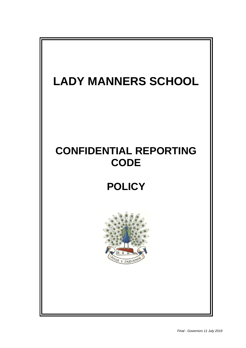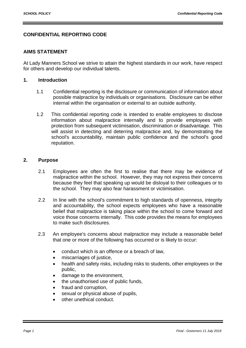# **CONFIDENTIAL REPORTING CODE**

#### **AIMS STATEMENT**

At Lady Manners School we strive to attain the highest standards in our work, have respect for others and develop our individual talents.

### **1. Introduction**

- 1.1 Confidential reporting is the disclosure or communication of information about possible malpractice by individuals or organisations. Disclosure can be either internal within the organisation or external to an outside authority.
- 1.2 This confidential reporting code is intended to enable employees to disclose information about malpractice internally and to provide employees with protection from subsequent victimisation, discrimination or disadvantage. This will assist in detecting and deterring malpractice and, by demonstrating the school's accountability, maintain public confidence and the school's good reputation.

#### **2. Purpose**

- 2.1 Employees are often the first to realise that there may be evidence of malpractice within the school. However, they may not express their concerns because they feel that speaking up would be disloyal to their colleagues or to the school. They may also fear harassment or victimisation.
- 2.2 In line with the school's commitment to high standards of openness, integrity and accountability, the school expects employees who have a reasonable belief that malpractice is taking place within the school to come forward and voice those concerns internally. This code provides the means for employees to make such disclosures.
- 2.3 An employee's concerns about malpractice may include a reasonable belief that one or more of the following has occurred or is likely to occur:
	- conduct which is an offence or a breach of law.
	- miscarriages of justice,
	- health and safety risks, including risks to students, other employees or the public,
	- damage to the environment,
	- the unauthorised use of public funds,
	- fraud and corruption,
	- sexual or physical abuse of pupils,
	- other unethical conduct.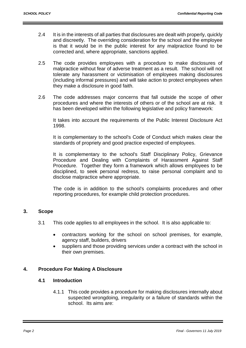- 2.4 It is in the interests of all parties that disclosures are dealt with properly, quickly and discreetly. The overriding consideration for the school and the employee is that it would be in the public interest for any malpractice found to be corrected and, where appropriate, sanctions applied.
- 2.5 The code provides employees with a procedure to make disclosures of malpractice without fear of adverse treatment as a result. The school will not tolerate any harassment or victimisation of employees making disclosures (including informal pressures) and will take action to protect employees when they make a disclosure in good faith.
- 2.6 The code addresses major concerns that fall outside the scope of other procedures and where the interests of others or of the school are at risk. It has been developed within the following legislative and policy framework:

It takes into account the requirements of the Public Interest Disclosure Act 1998.

It is complementary to the school's Code of Conduct which makes clear the standards of propriety and good practice expected of employees.

It is complementary to the school's Staff Disciplinary Policy, Grievance Procedure and Dealing with Complaints of Harassment Against Staff Procedure. Together they form a framework which allows employees to be disciplined, to seek personal redress, to raise personal complaint and to disclose malpractice where appropriate.

The code is in addition to the school's complaints procedures and other reporting procedures, for example child protection procedures.

### **3. Scope**

- 3.1 This code applies to all employees in the school. It is also applicable to:
	- contractors working for the school on school premises, for example, agency staff, builders, drivers
	- suppliers and those providing services under a contract with the school in their own premises.

### **4. Procedure For Making A Disclosure**

#### **4.1 Introduction**

4.1.1 This code provides a procedure for making disclosures internally about suspected wrongdoing, irregularity or a failure of standards within the school. Its aims are: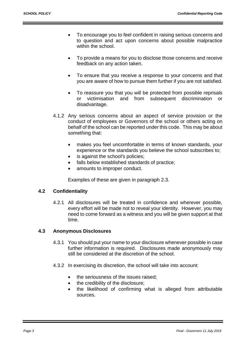- To encourage you to feel confident in raising serious concerns and to question and act upon concerns about possible malpractice within the school.
- To provide a means for you to disclose those concerns and receive feedback on any action taken.
- To ensure that you receive a response to your concerns and that you are aware of how to pursue them further if you are not satisfied.
- To reassure you that you will be protected from possible reprisals or victimisation and from subsequent discrimination or disadvantage.
- 4.1.2 Any serious concerns about an aspect of service provision or the conduct of employees or Governors of the school or others acting on behalf of the school can be reported under this code. This may be about something that:
	- makes you feel uncomfortable in terms of known standards, your experience or the standards you believe the school subscribes to;
	- is against the school's policies;
	- falls below established standards of practice;
	- amounts to improper conduct.

Examples of these are given in paragraph 2.3.

### **4.2 Confidentiality**

4.2.1 All disclosures will be treated in confidence and wherever possible, every effort will be made not to reveal your identity. However, you may need to come forward as a witness and you will be given support at that time.

# **4.3 Anonymous Disclosures**

- 4.3.1 You should put your name to your disclosure whenever possible in case further information is required. Disclosures made anonymously may still be considered at the discretion of the school.
- 4.3.2 In exercising its discretion, the school will take into account:
	- the seriousness of the issues raised;
	- the credibility of the disclosure;
	- the likelihood of confirming what is alleged from attributable sources.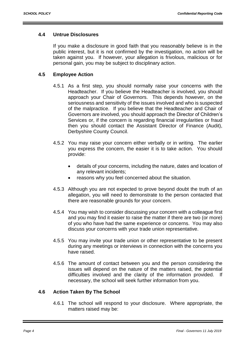### **4.4 Untrue Disclosures**

If you make a disclosure in good faith that you reasonably believe is in the public interest, but it is not confirmed by the investigation, no action will be taken against you. If however, your allegation is frivolous, malicious or for personal gain, you may be subject to disciplinary action.

### **4.5 Employee Action**

- 4.5.1 As a first step, you should normally raise your concerns with the Headteacher. If you believe the Headteacher is involved, you should approach your Chair of Governors. This depends however, on the seriousness and sensitivity of the issues involved and who is suspected of the malpractice. If you believe that the Headteacher and Chair of Governors are involved, you should approach the Director of Children's Services or, if the concern is regarding financial irregularities or fraud then you should contact the Assistant Director of Finance (Audit), Derbyshire County Council.
- 4.5.2 You may raise your concern either verbally or in writing. The earlier you express the concern, the easier it is to take action. You should provide:
	- details of your concerns, including the nature, dates and location of any relevant incidents;
	- reasons why you feel concerned about the situation.
- 4.5.3 Although you are not expected to prove beyond doubt the truth of an allegation, you will need to demonstrate to the person contacted that there are reasonable grounds for your concern.
- 4.5.4 You may wish to consider discussing your concern with a colleague first and you may find it easier to raise the matter if there are two (or more) of you who have had the same experience or concerns. You may also discuss your concerns with your trade union representative.
- 4.5.5 You may invite your trade union or other representative to be present during any meetings or interviews in connection with the concerns you have raised.
- 4.5.6 The amount of contact between you and the person considering the issues will depend on the nature of the matters raised, the potential difficulties involved and the clarity of the information provided. If necessary, the school will seek further information from you.

### **4.6 Action Taken By The School**

4.6.1 The school will respond to your disclosure. Where appropriate, the matters raised may be: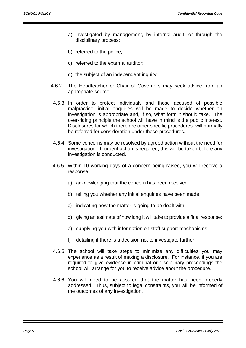- a) investigated by management, by internal audit, or through the disciplinary process;
- b) referred to the police;
- c) referred to the external auditor;
- d) the subject of an independent inquiry.
- 4.6.2 The Headteacher or Chair of Governors may seek advice from an appropriate source.
- 4.6.3 In order to protect individuals and those accused of possible malpractice, initial enquiries will be made to decide whether an investigation is appropriate and, if so, what form it should take. The over-riding principle the school will have in mind is the public interest. Disclosures for which there are other specific procedures will normally be referred for consideration under those procedures.
- 4.6.4 Some concerns may be resolved by agreed action without the need for investigation. If urgent action is required, this will be taken before any investigation is conducted.
- 4.6.5 Within 10 working days of a concern being raised, you will receive a response:
	- a) acknowledging that the concern has been received;
	- b) telling you whether any initial enquiries have been made;
	- c) indicating how the matter is going to be dealt with;
	- d) giving an estimate of how long it will take to provide a final response;
	- e) supplying you with information on staff support mechanisms;
	- f) detailing if there is a decision not to investigate further.
- 4.6.5 The school will take steps to minimise any difficulties you may experience as a result of making a disclosure. For instance, if you are required to give evidence in criminal or disciplinary proceedings the school will arrange for you to receive advice about the procedure.
- 4.6.6 You will need to be assured that the matter has been properly addressed. Thus, subject to legal constraints, you will be informed of the outcomes of any investigation.